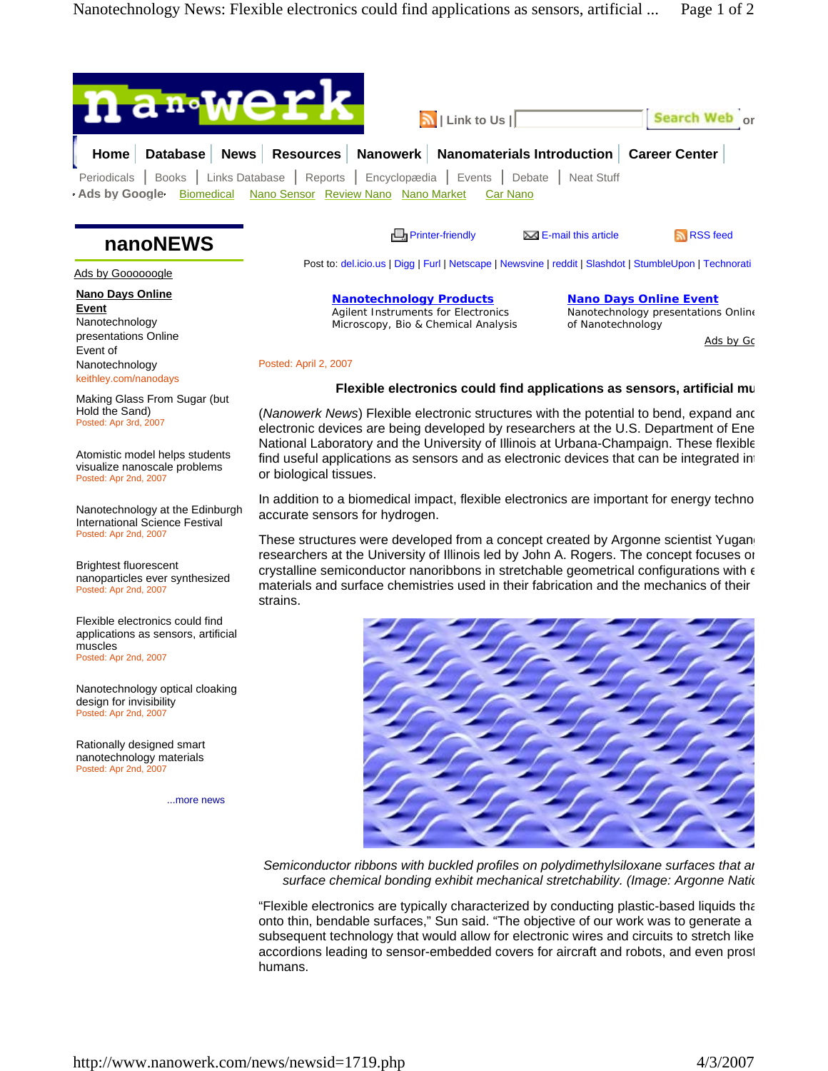

**Nanotechnology Products** Agilent Instruments for Electronics Microscopy, Bio & Chemical Analysis

Posted: April 2, 2007

Ads by Goooooogle

**Nano Days Online Event** Nanotechnology presentations Online Event of Nanotechnology keithley.com/nanodays

Making Glass From Sugar (but Hold the Sand) Posted: Apr 3rd, 2007

Atomistic model helps students visualize nanoscale problems Posted: Apr 2nd, 2007

Nanotechnology at the Edinburgh International Science Festival Posted: Apr 2nd, 2007

Brightest fluorescent nanoparticles ever synthesized Posted: Apr 2nd, 2007

Flexible electronics could find applications as sensors, artificial muscles Posted: Apr 2nd, 2007

Nanotechnology optical cloaking design for invisibility Posted: Apr 2nd, 2007

Rationally designed smart nanotechnology materials Posted: Apr 2nd, 200

...more news

**Flexible electronics could find applications as sensors, artificial mu**

**Nano Days Online Event** Nanotechnology presentations Online

Ads by Gc

of Nanotechnology

(*Nanowerk News*) Flexible electronic structures with the potential to bend, expand and electronic devices are being developed by researchers at the U.S. Department of Ene National Laboratory and the University of Illinois at Urbana-Champaign. These flexible find useful applications as sensors and as electronic devices that can be integrated in or biological tissues.

In addition to a biomedical impact, flexible electronics are important for energy techno accurate sensors for hydrogen.

These structures were developed from a concept created by Argonne scientist Yugang researchers at the University of Illinois led by John A. Rogers. The concept focuses on crystalline semiconductor nanoribbons in stretchable geometrical configurations with  $\epsilon$ materials and surface chemistries used in their fabrication and the mechanics of their strains.



*Semiconductor ribbons with buckled profiles on polydimethylsiloxane surfaces that ar surface chemical bonding exhibit mechanical stretchability. (Image: Argonne Natio*

"Flexible electronics are typically characterized by conducting plastic-based liquids tha onto thin, bendable surfaces," Sun said. "The objective of our work was to generate a subsequent technology that would allow for electronic wires and circuits to stretch like accordions leading to sensor-embedded covers for aircraft and robots, and even prost humans.